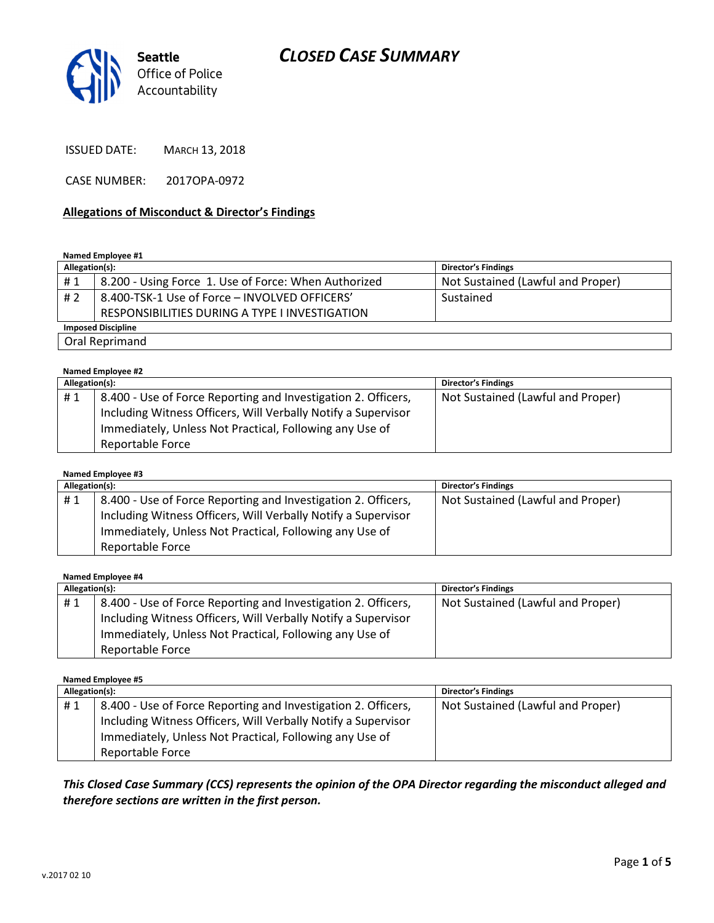## CLOSED CASE SUMMARY



ISSUED DATE: MARCH 13, 2018

CASE NUMBER: 2017OPA-0972

### Allegations of Misconduct & Director's Findings

### Named Employee #1

| Allegation(s):            |                                                      | <b>Director's Findings</b>        |
|---------------------------|------------------------------------------------------|-----------------------------------|
| #1                        | 8.200 - Using Force 1. Use of Force: When Authorized | Not Sustained (Lawful and Proper) |
| #2                        | 8.400-TSK-1 Use of Force - INVOLVED OFFICERS'        | Sustained                         |
|                           | RESPONSIBILITIES DURING A TYPE I INVESTIGATION       |                                   |
| <b>Imposed Discipline</b> |                                                      |                                   |
| Oral Reprimand            |                                                      |                                   |

#### Named Employee #2

| Allegation(s): |                                                               | <b>Director's Findings</b>        |
|----------------|---------------------------------------------------------------|-----------------------------------|
| #1             | 8.400 - Use of Force Reporting and Investigation 2. Officers, | Not Sustained (Lawful and Proper) |
|                | Including Witness Officers, Will Verbally Notify a Supervisor |                                   |
|                | Immediately, Unless Not Practical, Following any Use of       |                                   |
|                | Reportable Force                                              |                                   |

### Named Employee #3

| Allegation(s): |                                                               | <b>Director's Findings</b>        |
|----------------|---------------------------------------------------------------|-----------------------------------|
| #1             | 8.400 - Use of Force Reporting and Investigation 2. Officers, | Not Sustained (Lawful and Proper) |
|                | Including Witness Officers, Will Verbally Notify a Supervisor |                                   |
|                | Immediately, Unless Not Practical, Following any Use of       |                                   |
|                | Reportable Force                                              |                                   |

#### Named Employee #4

| Allegation(s): |                                                               | <b>Director's Findings</b>        |
|----------------|---------------------------------------------------------------|-----------------------------------|
| #1             | 8.400 - Use of Force Reporting and Investigation 2. Officers, | Not Sustained (Lawful and Proper) |
|                | Including Witness Officers, Will Verbally Notify a Supervisor |                                   |
|                | Immediately, Unless Not Practical, Following any Use of       |                                   |
|                | Reportable Force                                              |                                   |

#### Named Employee #5

| Allegation(s): |                                                               | <b>Director's Findings</b>        |
|----------------|---------------------------------------------------------------|-----------------------------------|
| #1             | 8.400 - Use of Force Reporting and Investigation 2. Officers, | Not Sustained (Lawful and Proper) |
|                | Including Witness Officers, Will Verbally Notify a Supervisor |                                   |
|                | Immediately, Unless Not Practical, Following any Use of       |                                   |
|                | Reportable Force                                              |                                   |

This Closed Case Summary (CCS) represents the opinion of the OPA Director regarding the misconduct alleged and therefore sections are written in the first person.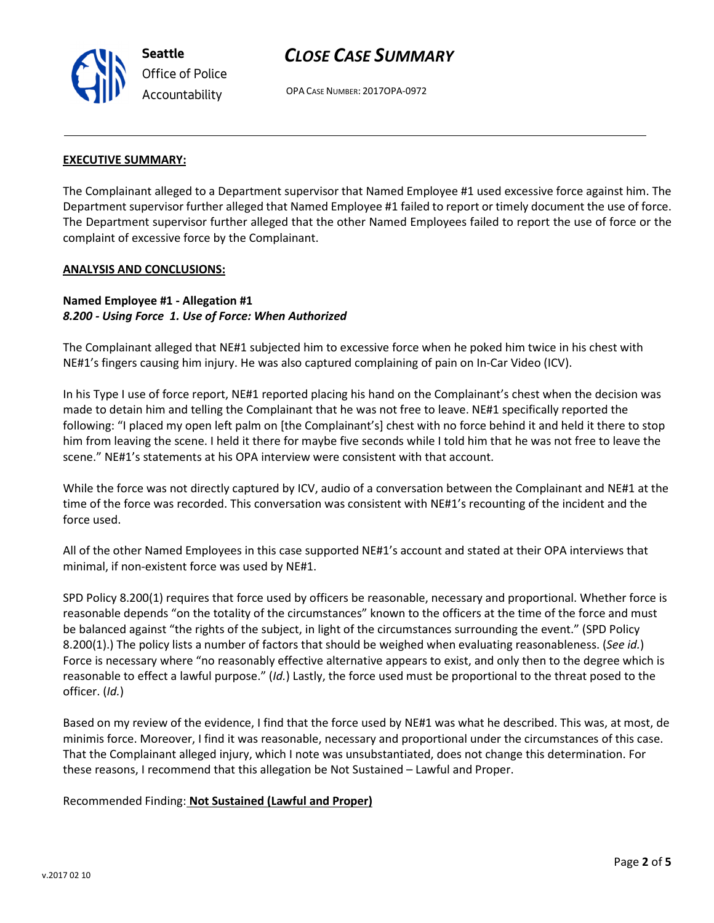## CLOSE CASE SUMMARY

OPA CASE NUMBER: 2017OPA-0972

### EXECUTIVE SUMMARY:

The Complainant alleged to a Department supervisor that Named Employee #1 used excessive force against him. The Department supervisor further alleged that Named Employee #1 failed to report or timely document the use of force. The Department supervisor further alleged that the other Named Employees failed to report the use of force or the complaint of excessive force by the Complainant.

### ANALYSIS AND CONCLUSIONS:

## Named Employee #1 - Allegation #1 8.200 - Using Force 1. Use of Force: When Authorized

The Complainant alleged that NE#1 subjected him to excessive force when he poked him twice in his chest with NE#1's fingers causing him injury. He was also captured complaining of pain on In-Car Video (ICV).

In his Type I use of force report, NE#1 reported placing his hand on the Complainant's chest when the decision was made to detain him and telling the Complainant that he was not free to leave. NE#1 specifically reported the following: "I placed my open left palm on [the Complainant's] chest with no force behind it and held it there to stop him from leaving the scene. I held it there for maybe five seconds while I told him that he was not free to leave the scene." NE#1's statements at his OPA interview were consistent with that account.

While the force was not directly captured by ICV, audio of a conversation between the Complainant and NE#1 at the time of the force was recorded. This conversation was consistent with NE#1's recounting of the incident and the force used.

All of the other Named Employees in this case supported NE#1's account and stated at their OPA interviews that minimal, if non-existent force was used by NE#1.

SPD Policy 8.200(1) requires that force used by officers be reasonable, necessary and proportional. Whether force is reasonable depends "on the totality of the circumstances" known to the officers at the time of the force and must be balanced against "the rights of the subject, in light of the circumstances surrounding the event." (SPD Policy 8.200(1).) The policy lists a number of factors that should be weighed when evaluating reasonableness. (See id.) Force is necessary where "no reasonably effective alternative appears to exist, and only then to the degree which is reasonable to effect a lawful purpose." (Id.) Lastly, the force used must be proportional to the threat posed to the officer. (Id.)

Based on my review of the evidence, I find that the force used by NE#1 was what he described. This was, at most, de minimis force. Moreover, I find it was reasonable, necessary and proportional under the circumstances of this case. That the Complainant alleged injury, which I note was unsubstantiated, does not change this determination. For these reasons, I recommend that this allegation be Not Sustained – Lawful and Proper.

Recommended Finding: Not Sustained (Lawful and Proper)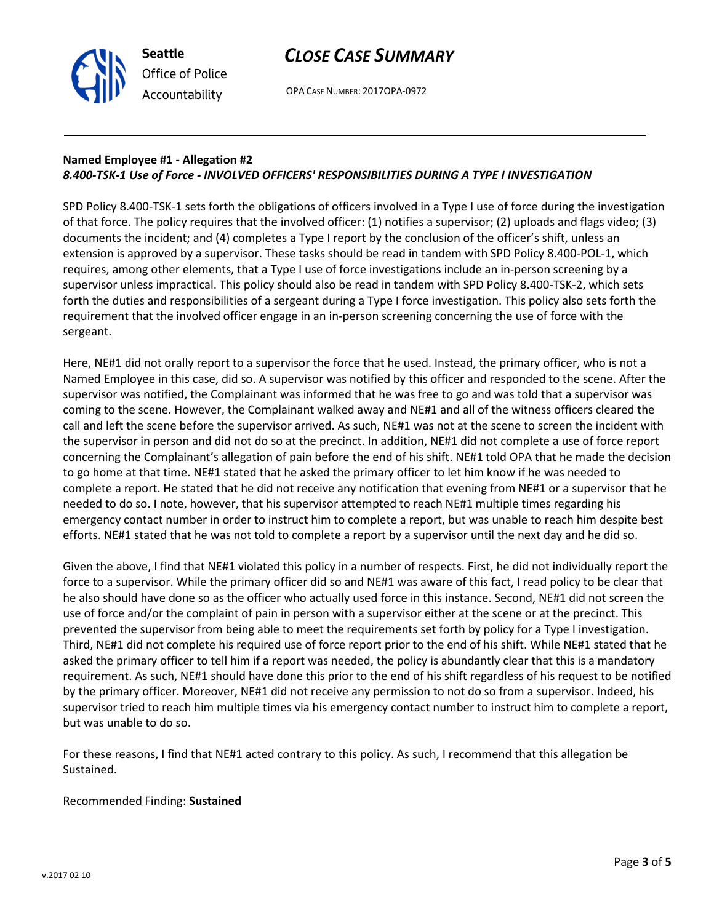## CLOSE CASE SUMMARY

OPA CASE NUMBER: 2017OPA-0972

## Named Employee #1 - Allegation #2 8.400-TSK-1 Use of Force - INVOLVED OFFICERS' RESPONSIBILITIES DURING A TYPE I INVESTIGATION

SPD Policy 8.400-TSK-1 sets forth the obligations of officers involved in a Type I use of force during the investigation of that force. The policy requires that the involved officer: (1) notifies a supervisor; (2) uploads and flags video; (3) documents the incident; and (4) completes a Type I report by the conclusion of the officer's shift, unless an extension is approved by a supervisor. These tasks should be read in tandem with SPD Policy 8.400-POL-1, which requires, among other elements, that a Type I use of force investigations include an in-person screening by a supervisor unless impractical. This policy should also be read in tandem with SPD Policy 8.400-TSK-2, which sets forth the duties and responsibilities of a sergeant during a Type I force investigation. This policy also sets forth the requirement that the involved officer engage in an in-person screening concerning the use of force with the sergeant.

Here, NE#1 did not orally report to a supervisor the force that he used. Instead, the primary officer, who is not a Named Employee in this case, did so. A supervisor was notified by this officer and responded to the scene. After the supervisor was notified, the Complainant was informed that he was free to go and was told that a supervisor was coming to the scene. However, the Complainant walked away and NE#1 and all of the witness officers cleared the call and left the scene before the supervisor arrived. As such, NE#1 was not at the scene to screen the incident with the supervisor in person and did not do so at the precinct. In addition, NE#1 did not complete a use of force report concerning the Complainant's allegation of pain before the end of his shift. NE#1 told OPA that he made the decision to go home at that time. NE#1 stated that he asked the primary officer to let him know if he was needed to complete a report. He stated that he did not receive any notification that evening from NE#1 or a supervisor that he needed to do so. I note, however, that his supervisor attempted to reach NE#1 multiple times regarding his emergency contact number in order to instruct him to complete a report, but was unable to reach him despite best efforts. NE#1 stated that he was not told to complete a report by a supervisor until the next day and he did so.

Given the above, I find that NE#1 violated this policy in a number of respects. First, he did not individually report the force to a supervisor. While the primary officer did so and NE#1 was aware of this fact, I read policy to be clear that he also should have done so as the officer who actually used force in this instance. Second, NE#1 did not screen the use of force and/or the complaint of pain in person with a supervisor either at the scene or at the precinct. This prevented the supervisor from being able to meet the requirements set forth by policy for a Type I investigation. Third, NE#1 did not complete his required use of force report prior to the end of his shift. While NE#1 stated that he asked the primary officer to tell him if a report was needed, the policy is abundantly clear that this is a mandatory requirement. As such, NE#1 should have done this prior to the end of his shift regardless of his request to be notified by the primary officer. Moreover, NE#1 did not receive any permission to not do so from a supervisor. Indeed, his supervisor tried to reach him multiple times via his emergency contact number to instruct him to complete a report, but was unable to do so.

For these reasons, I find that NE#1 acted contrary to this policy. As such, I recommend that this allegation be Sustained.

## Recommended Finding: Sustained



Seattle

Office of Police Accountability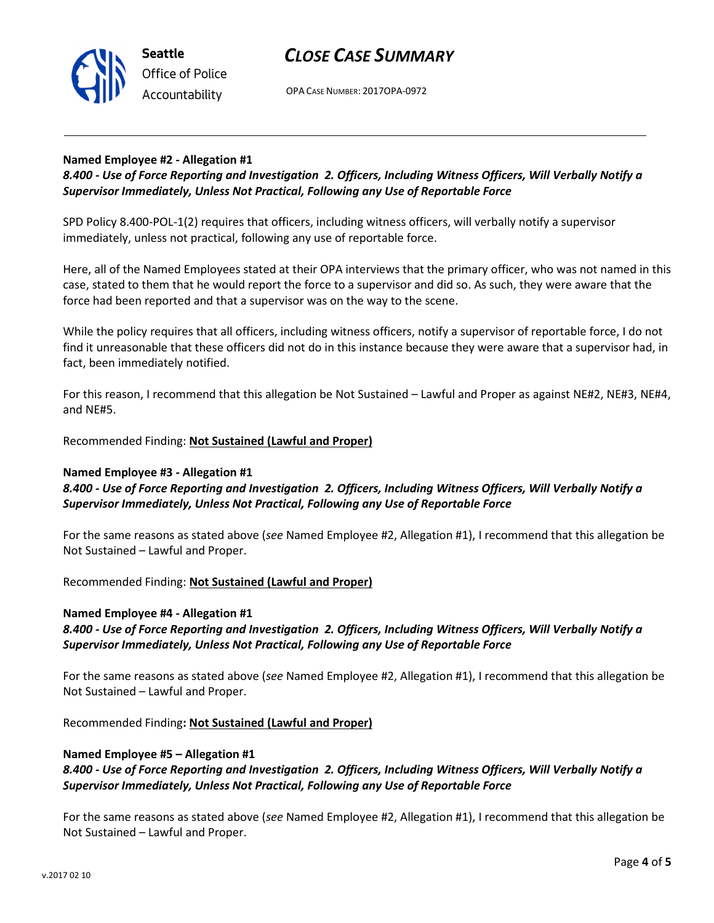



OPA CASE NUMBER: 2017OPA-0972

## Named Employee #2 - Allegation #1

8.400 - Use of Force Reporting and Investigation 2. Officers, Including Witness Officers, Will Verbally Notify a Supervisor Immediately, Unless Not Practical, Following any Use of Reportable Force

SPD Policy 8.400-POL-1(2) requires that officers, including witness officers, will verbally notify a supervisor immediately, unless not practical, following any use of reportable force.

Here, all of the Named Employees stated at their OPA interviews that the primary officer, who was not named in this case, stated to them that he would report the force to a supervisor and did so. As such, they were aware that the force had been reported and that a supervisor was on the way to the scene.

While the policy requires that all officers, including witness officers, notify a supervisor of reportable force, I do not find it unreasonable that these officers did not do in this instance because they were aware that a supervisor had, in fact, been immediately notified.

For this reason, I recommend that this allegation be Not Sustained – Lawful and Proper as against NE#2, NE#3, NE#4, and NE#5.

Recommended Finding: Not Sustained (Lawful and Proper)

## Named Employee #3 - Allegation #1

## 8.400 - Use of Force Reporting and Investigation 2. Officers, Including Witness Officers, Will Verbally Notify a Supervisor Immediately, Unless Not Practical, Following any Use of Reportable Force

For the same reasons as stated above (see Named Employee #2, Allegation #1), I recommend that this allegation be Not Sustained – Lawful and Proper.

Recommended Finding: Not Sustained (Lawful and Proper)

## Named Employee #4 - Allegation #1

8.400 - Use of Force Reporting and Investigation 2. Officers, Including Witness Officers, Will Verbally Notify a Supervisor Immediately, Unless Not Practical, Following any Use of Reportable Force

For the same reasons as stated above (see Named Employee #2, Allegation #1), I recommend that this allegation be Not Sustained – Lawful and Proper.

Recommended Finding: Not Sustained (Lawful and Proper)

### Named Employee #5 – Allegation #1

## 8.400 - Use of Force Reporting and Investigation 2. Officers, Including Witness Officers, Will Verbally Notify a Supervisor Immediately, Unless Not Practical, Following any Use of Reportable Force

For the same reasons as stated above (see Named Employee #2, Allegation #1), I recommend that this allegation be Not Sustained – Lawful and Proper.